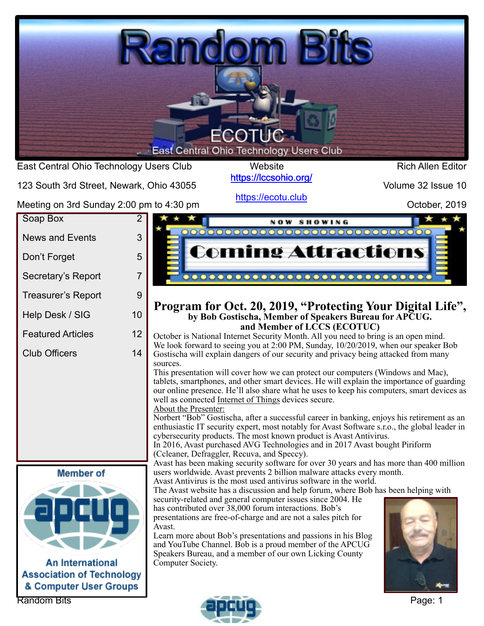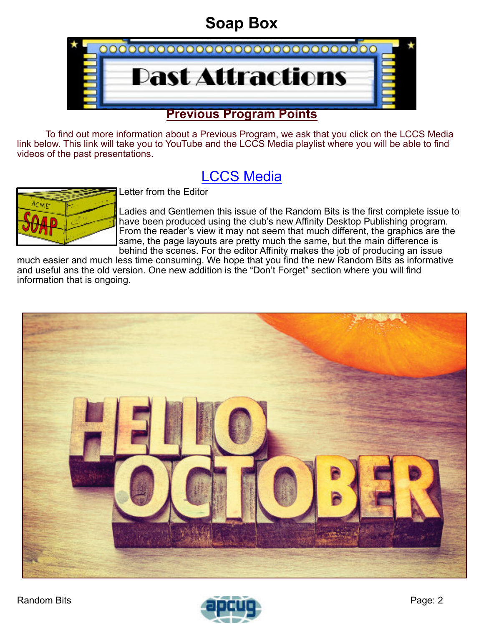# **Soap Box**

<span id="page-1-0"></span>

To find out more information about a Previous Program, we ask that you click on the LCCS Media link below. This link will take you to YouTube and the LCCS Media playlist where you will be able to find videos of the past presentations.

## [LCCS Media](https://www.youtube.com/playlist?list=PLpaxj3rjf_8Ykfq-VbR0I4wOGsm_01RpI)



Letter from the Editor

Ladies and Gentlemen this issue of the Random Bits is the first complete issue to have been produced using the club's new Affinity Desktop Publishing program. From the reader's view it may not seem that much different, the graphics are the same, the page layouts are pretty much the same, but the main difference is behind the scenes. For the editor Affinity makes the job of producing an issue

much easier and much less time consuming. We hope that you find the new Random Bits as informative and useful ans the old version. One new addition is the "Don't Forget" section where you will find information that is ongoing.



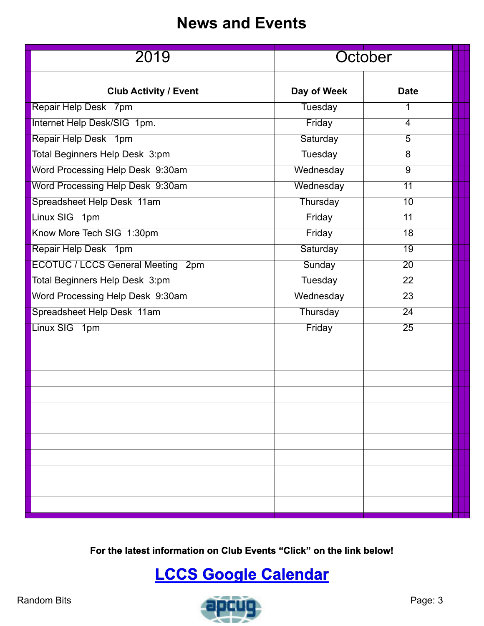### **News and Events**

<span id="page-2-0"></span>

| 2019                                     |                 | October         |  |
|------------------------------------------|-----------------|-----------------|--|
| <b>Club Activity / Event</b>             | Day of Week     | <b>Date</b>     |  |
| Repair Help Desk 7pm                     | Tuesday         | 1               |  |
| Internet Help Desk/SIG 1pm.              | Friday          | 4               |  |
| Repair Help Desk 1pm                     | Saturday        | $\overline{5}$  |  |
| Total Beginners Help Desk 3:pm           | <b>Tuesday</b>  | $\overline{8}$  |  |
| Word Processing Help Desk 9:30am         | Wednesday       | $\overline{9}$  |  |
| Word Processing Help Desk 9:30am         | Wednesday       | $\overline{11}$ |  |
| Spreadsheet Help Desk 11am               | Thursday        | $\overline{10}$ |  |
| Linux SIG 1pm                            | Friday          | 11              |  |
| Know More Tech SIG 1:30pm                | Friday          | $\overline{18}$ |  |
| Repair Help Desk 1pm                     | Saturday        | $\overline{19}$ |  |
| <b>ECOTUC / LCCS General Meeting 2pm</b> | Sunday          | $\overline{20}$ |  |
| Total Beginners Help Desk 3:pm           | <b>Tuesday</b>  | $\overline{22}$ |  |
| Word Processing Help Desk 9:30am         | Wednesday       | $\overline{23}$ |  |
| Spreadsheet Help Desk 11am               | <b>Thursday</b> | $\overline{24}$ |  |
| Linux SIG 1pm                            | Friday          | $\overline{25}$ |  |
|                                          |                 |                 |  |
|                                          |                 |                 |  |
|                                          |                 |                 |  |
|                                          |                 |                 |  |
|                                          |                 |                 |  |
|                                          |                 |                 |  |
|                                          |                 |                 |  |
|                                          |                 |                 |  |
|                                          |                 |                 |  |
|                                          |                 |                 |  |
|                                          |                 |                 |  |
|                                          |                 |                 |  |

**For the latest information on Club Events "Click" on the link below!**

# **[LCCS Google Calendar](https://www.google.com/calendar/embed?src=0uroppicsshfku561ujq4gl65g@group.calendar.google.com&ctz=America/New_York)**

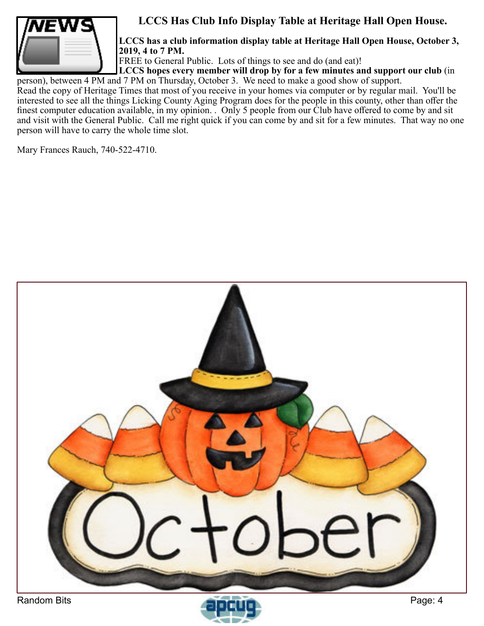

#### **LCCS Has Club Info Display Table at Heritage Hall Open House.**

**LCCS has a club information display table at Heritage Hall Open House, October 3, 2019, 4 to 7 PM.**

FREE to General Public. Lots of things to see and do (and eat)!

**LCCS hopes every member will drop by for a few minutes and support our club** (in person), between 4 PM and 7 PM on Thursday, October 3. We need to make a good show of support.

Read the copy of Heritage Times that most of you receive in your homes via computer or by regular mail. You'll be interested to see all the things Licking County Aging Program does for the people in this county, other than offer the finest computer education available, in my opinion. . Only 5 people from our Club have offered to come by and sit and visit with the General Public. Call me right quick if you can come by and sit for a few minutes. That way no one person will have to carry the whole time slot.

Mary Frances Rauch, 740-522-4710.



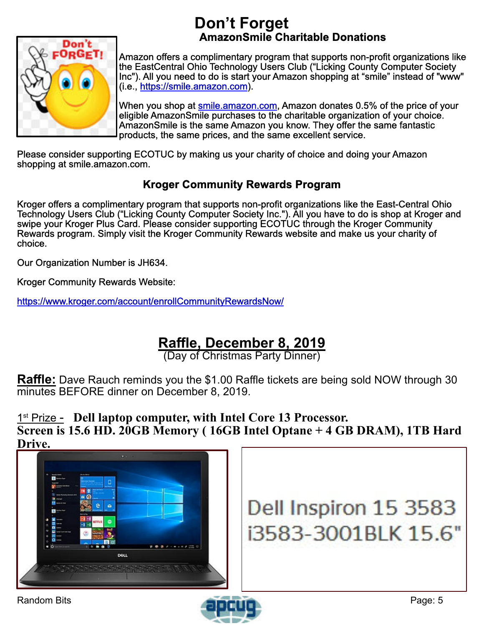### **Don't Forget AmazonSmile Charitable Donations**

<span id="page-4-0"></span>

Amazon offers a complimentary program that supports non-profit organizations like the EastCentral Ohio Technology Users Club ("Licking County Computer Society Inc"). All you need to do is start your Amazon shopping at "smile" instead of "www" (i.e., <https://smile.amazon.com>).

When you shop at [smile.amazon.com,](https://smile.amazon.com) Amazon donates 0.5% of the price of your eligible AmazonSmile purchases to the charitable organization of your choice. AmazonSmile is the same Amazon you know. They offer the same fantastic products, the same prices, and the same excellent service.

Please consider supporting ECOTUC by making us your charity of choice and doing your Amazon shopping at smile.amazon.com.

#### **Kroger Community Rewards Program**

Kroger offers a complimentary program that supports non-profit organizations like the East-Central Ohio Technology Users Club ("Licking County Computer Society Inc."). All you have to do is shop at Kroger and swipe your Kroger Plus Card. Please consider supporting ECOTUC through the Kroger Community Rewards program. Simply visit the Kroger Community Rewards website and make us your charity of choice.

Our Organization Number is JH634.

Kroger Community Rewards Website:

<https://www.kroger.com/account/enrollCommunityRewardsNow/>

### **Raffle, December 8, 2019**

(Day of Christmas Party Dinner)

**Raffle:** Dave Rauch reminds you the \$1.00 Raffle tickets are being sold NOW through 30 minutes BEFORE dinner on December 8, 2019.

1 st Prize - **Dell laptop computer, with Intel Core 13 Processor. Screen is 15.6 HD. 20GB Memory ( 16GB Intel Optane + 4 GB DRAM), 1TB Hard Drive.**





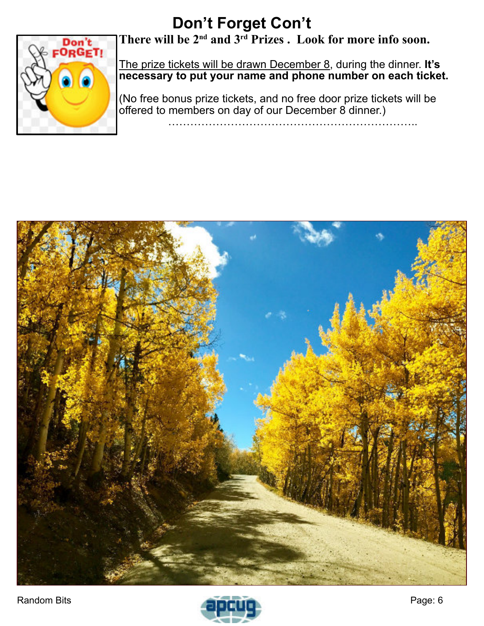# **Don't Forget Con't**



**There will be 2nd and 3rd Prizes . Look for more info soon.**

The prize tickets will be drawn December 8, during the dinner. **It's necessary to put your name and phone number on each ticket.**

(No free bonus prize tickets, and no free door prize tickets will be offered to members on day of our December 8 dinner.)

…………………………………………………………..



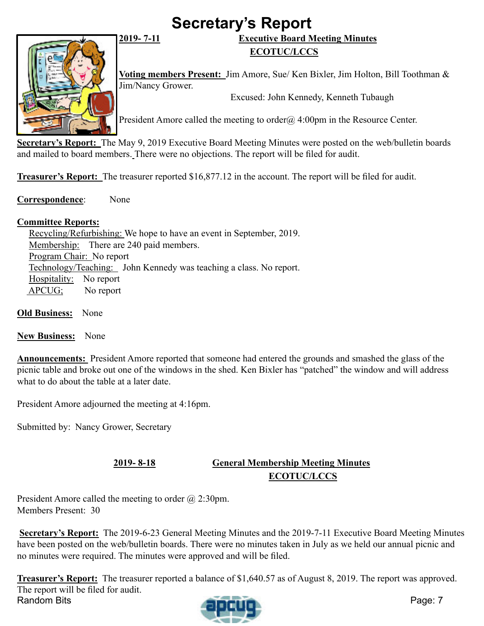# **Secretary's Report**

<span id="page-6-0"></span>

#### **2019- 7-11 Executive Board Meeting Minutes ECOTUC/LCCS**

**Voting members Present:** Jim Amore, Sue/ Ken Bixler, Jim Holton, Bill Toothman & Jim/Nancy Grower.

Excused: John Kennedy, Kenneth Tubaugh

President Amore called the meeting to order $\omega$  4:00pm in the Resource Center.

**Secretary's Report:** The May 9, 2019 Executive Board Meeting Minutes were posted on the web/bulletin boards and mailed to board members. There were no objections. The report will be filed for audit.

**Treasurer's Report:** The treasurer reported \$16,877.12 in the account. The report will be filed for audit.

**Correspondence**: None

#### **Committee Reports:**

Recycling/Refurbishing: We hope to have an event in September, 2019. Membership: There are 240 paid members. Program Chair: No report Technology/Teaching: John Kennedy was teaching a class. No report. Hospitality: No report APCUG; No report

**Old Business:** None

#### **New Business:** None

**Announcements:** President Amore reported that someone had entered the grounds and smashed the glass of the picnic table and broke out one of the windows in the shed. Ken Bixler has "patched" the window and will address what to do about the table at a later date.

President Amore adjourned the meeting at 4:16pm.

Submitted by: Nancy Grower, Secretary

#### **2019- 8-18 General Membership Meeting Minutes ECOTUC/LCCS**

President Amore called the meeting to order @ 2:30pm. Members Present: 30

**Secretary's Report:** The 2019-6-23 General Meeting Minutes and the 2019-7-11 Executive Board Meeting Minutes have been posted on the web/bulletin boards. There were no minutes taken in July as we held our annual picnic and no minutes were required. The minutes were approved and will be filed.

Random Bits **Page: 7 Treasurer's Report:** The treasurer reported a balance of \$1,640.57 as of August 8, 2019. The report was approved. The report will be filed for audit.<br>Random Bits

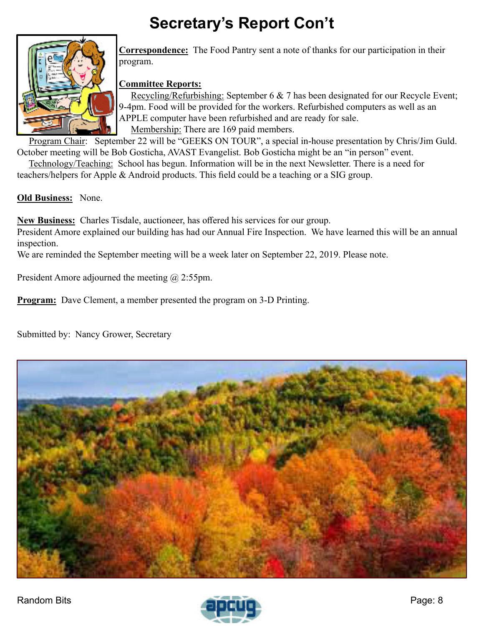# **Secretary's Report Con't**



**Correspondence:** The Food Pantry sent a note of thanks for our participation in their program.

#### **Committee Reports:**

Recycling/Refurbishing: September 6 & 7 has been designated for our Recycle Event; 9-4pm. Food will be provided for the workers. Refurbished computers as well as an APPLE computer have been refurbished and are ready for sale. Membership: There are 169 paid members.

Program Chair: September 22 will be "GEEKS ON TOUR", a special in-house presentation by Chris/Jim Guld. October meeting will be Bob Gosticha, AVAST Evangelist. Bob Gosticha might be an "in person" event.

Technology/Teaching: School has begun. Information will be in the next Newsletter. There is a need for teachers/helpers for Apple & Android products. This field could be a teaching or a SIG group.

**Old Business:** None.

**New Business:** Charles Tisdale, auctioneer, has offered his services for our group.

President Amore explained our building has had our Annual Fire Inspection. We have learned this will be an annual inspection.

We are reminded the September meeting will be a week later on September 22, 2019. Please note.

President Amore adjourned the meeting  $\omega$  2:55pm.

**Program:** Dave Clement, a member presented the program on 3-D Printing.

Submitted by: Nancy Grower, Secretary



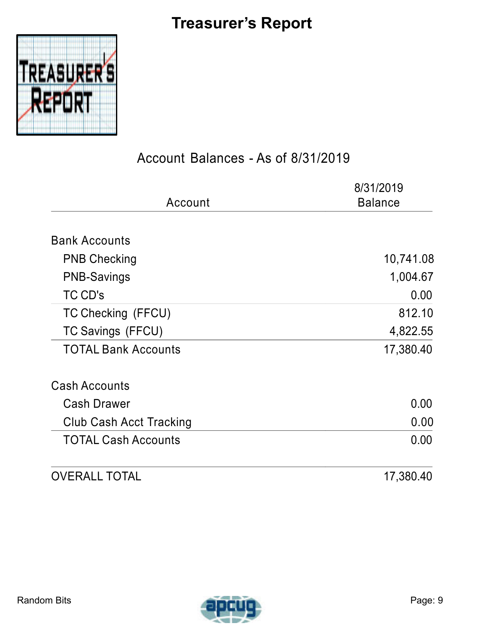# **Treasurer's Report**

<span id="page-8-0"></span>

### Account Balances - As of 8/31/2019

| Account                    | 8/31/2019<br><b>Balance</b> |
|----------------------------|-----------------------------|
|                            |                             |
| <b>Bank Accounts</b>       |                             |
| <b>PNB Checking</b>        | 10,741.08                   |
| <b>PNB-Savings</b>         | 1,004.67                    |
| TC CD's                    | 0.00                        |
| TC Checking (FFCU)         | 812.10                      |
| TC Savings (FFCU)          | 4,822.55                    |
| <b>TOTAL Bank Accounts</b> | 17,380.40                   |
| <b>Cash Accounts</b>       |                             |
| <b>Cash Drawer</b>         | 0.00                        |
| Club Cash Acct Tracking    | 0.00                        |
| <b>TOTAL Cash Accounts</b> | 0.00                        |
| <b>OVERALL TOTAL</b>       | 17,380.40                   |

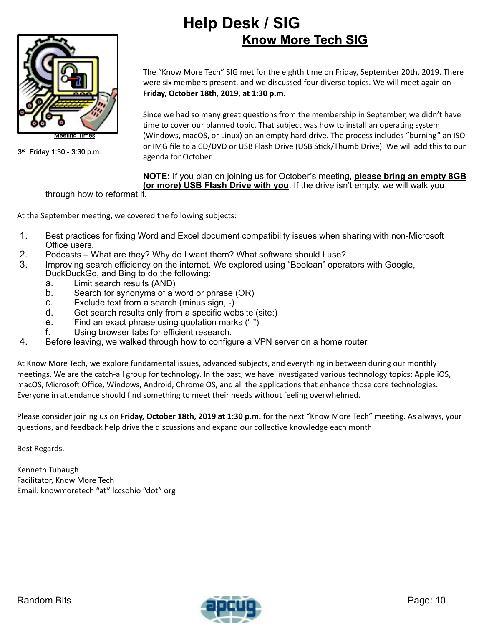### **Help Desk / SIG Know More Tech SIG**

<span id="page-9-0"></span>

3 rd Friday 1:30 - 3:30 p.m.

The "Know More Tech" SIG met for the eighth time on Friday, September 20th, 2019. There were six members present, and we discussed four diverse topics. We will meet again on **Friday, October 18th, 2019, at 1:30 p.m.**

Since we had so many great questions from the membership in September, we didn't have time to cover our planned topic. That subject was how to install an operating system (Windows, macOS, or Linux) on an empty hard drive. The process includes "burning" an ISO or IMG file to a CD/DVD or USB Flash Drive (USB S�ck/Thumb Drive). We will add this to our agenda for October.

#### **NOTE:** If you plan on joining us for October's meeting, **please bring an empty 8GB (or more) USB Flash Drive with you**. If the drive isn't empty, we will walk you

through how to reformat it.

At the September meeting, we covered the following subjects:

- 1. Best practices for fixing Word and Excel document compatibility issues when sharing with non-Microsoft Office users.
- 2. Podcasts What are they? Why do I want them? What software should I use?<br>3. Improving search efficiency on the internet We explored using "Boolean" opera
- Improving search efficiency on the internet. We explored using "Boolean" operators with Google, DuckDuckGo, and Bing to do the following:
	- a. Limit search results (AND)
	- b. Search for synonyms of a word or phrase (OR)
	- c. Exclude text from a search (minus sign, -)
	- d. Get search results only from a specific website (site:)<br>e. Find an exact phrase using quotation marks (" ")
	- Find an exact phrase using quotation marks  $(" " )$
	- f. Using browser tabs for efficient research.
- 4. Before leaving, we walked through how to configure a VPN server on a home router.

At Know More Tech, we explore fundamental issues, advanced subjects, and everything in between during our monthly meetings. We are the catch-all group for technology. In the past, we have investigated various technology topics: Apple iOS, macOS, Microsoft Office, Windows, Android, Chrome OS, and all the applications that enhance those core technologies. Everyone in attendance should find something to meet their needs without feeling overwhelmed.

Please consider joining us on Friday, October 18th, 2019 at 1:30 p.m. for the next "Know More Tech" meeting. As always, your questions, and feedback help drive the discussions and expand our collective knowledge each month.

Best Regards,

Kenneth Tubaugh Facilitator, Know More Tech Email: knowmoretech "at" lccsohio "dot" org



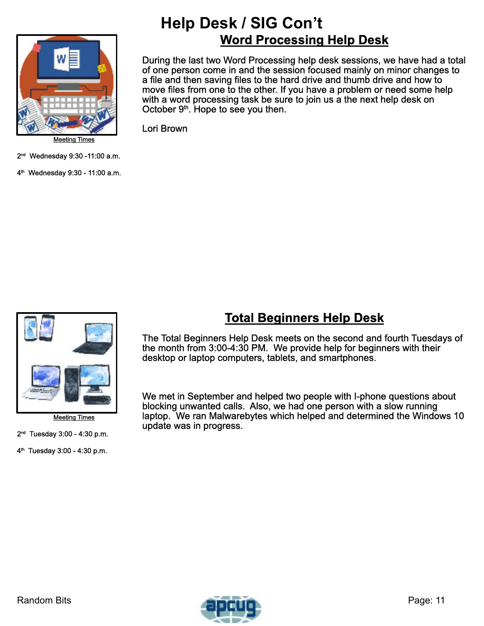

Meeting Times

2 nd Wednesday 9:30 -11:00 a.m.

4 th Wednesday 9:30 - 11:00 a.m.

### **Help Desk / SIG Con't Word Processing Help Desk**

During the last two Word Processing help desk sessions, we have had a total of one person come in and the session focused mainly on minor changes to a file and then saving files to the hard drive and thumb drive and how to move files from one to the other. If you have a problem or need some help with a word processing task be sure to join us a the next help desk on October  $9<sup>th</sup>$ . Hope to see you then.

Lori Brown



Meeting Times

2 nd Tuesday 3:00 - 4:30 p.m.

4 th Tuesday 3:00 - 4:30 p.m.

### **Total Beginners Help Desk**

The Total Beginners Help Desk meets on the second and fourth Tuesdays of the month from 3:00-4:30 PM. We provide help for beginners with their desktop or laptop computers, tablets, and smartphones.

We met in September and helped two people with I-phone questions about blocking unwanted calls. Also, we had one person with a slow running laptop. We ran Malwarebytes which helped and determined the Windows 10 update was in progress.

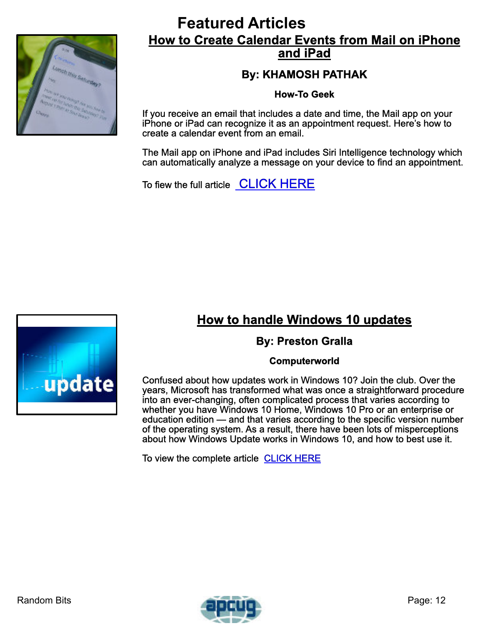<span id="page-11-0"></span>

### **Featured Articles How to Create Calendar Events from Mail on iPhone and iPad**

### **By: KHAMOSH PATHAK**

**How-To Geek**

If you receive an email that includes a date and time, the Mail app on your iPhone or iPad can recognize it as an appointment request. Here's how to create a calendar event from an email.

The Mail app on iPhone and iPad includes Siri Intelligence technology which can automatically analyze a message on your device to find an appointment.

To fiew the full article [CLICK HERE](https://www.howtogeek.com/438719/how-to-create-calendar-events-from-mail-on-iphone-and-ipad/)

## **How to handle Windows 10 updates**

#### **By: Preston Gralla**

#### **Computerworld**

Confused about how updates work in Windows 10? Join the club. Over the years, Microsoft has transformed what was once a straightforward procedure into an ever-changing, often complicated process that varies according to whether you have Windows 10 Home, Windows 10 Pro or an enterprise or education edition — and that varies according to the specific version number of the operating system. As a result, there have been lots of misperceptions about how Windows Update works in Windows 10, and how to best use it.

To view the complete article [CLICK HERE](https://www.computerworld.com/article/3014600/how-to-handle-windows-10-updates.html)



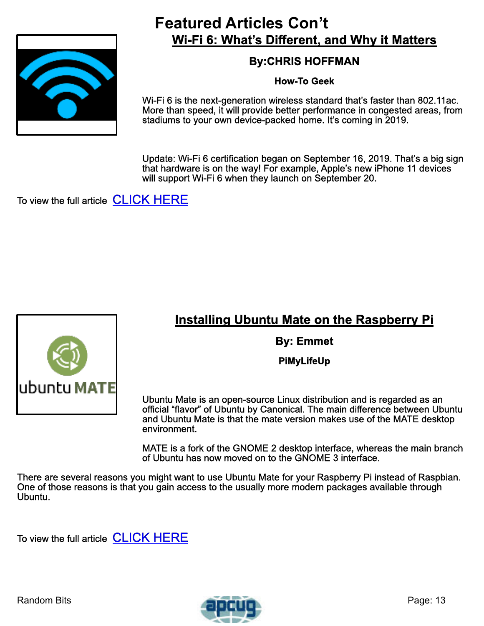

### **Featured Articles Con't Wi-Fi 6: What's Different, and Why it Matters**

### **By:CHRIS HOFFMAN**

#### **How-To Geek**

Wi-Fi 6 is the next-generation wireless standard that's faster than 802.11ac. More than speed, it will provide better performance in congested areas, from stadiums to your own device-packed home. It's coming in 2019.

Update: Wi-Fi 6 certification began on September 16, 2019. That's a big sign that hardware is on the way! For example, Apple's new iPhone 11 devices will support Wi-Fi 6 when they launch on September 20.

To view the full article **[CLICK HERE](https://www.howtogeek.com/368332/wi-fi-6-what%E2%80%99s-different-and-why-it-matters/)** 

### **Installing Ubuntu Mate on the Raspberry Pi**

**By: Emmet**

**PiMyLifeUp**

Ubuntu Mate is an open-source Linux distribution and is regarded as an official "flavor" of Ubuntu by Canonical. The main difference between Ubuntu and Ubuntu Mate is that the mate version makes use of the MATE desktop environment.

MATE is a fork of the GNOME 2 desktop interface, whereas the main branch of Ubuntu has now moved on to the GNOME 3 interface.

There are several reasons you might want to use Ubuntu Mate for your Raspberry Pi instead of Raspbian. One of those reasons is that you gain access to the usually more modern packages available through Ubuntu.

To view the full article **[CLICK HERE](https://pimylifeup.com/raspberry-pi-ubuntu-mate/)**